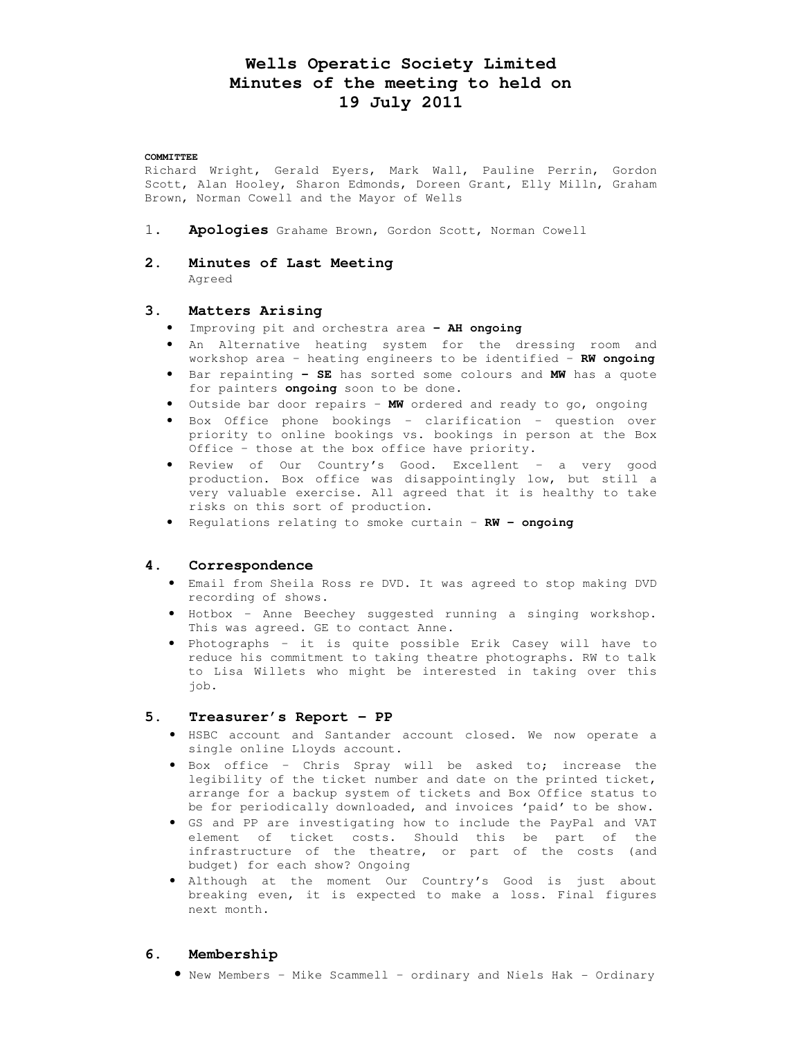# **Wells Operatic Society Limited Minutes of the meeting to held on 19 July 2011**

#### **COMMITTEE**

Richard Wright, Gerald Eyers, Mark Wall, Pauline Perrin, Gordon Scott, Alan Hooley, Sharon Edmonds, Doreen Grant, Elly Milln, Graham Brown, Norman Cowell and the Mayor of Wells

- 1. **Apologies** Grahame Brown, Gordon Scott, Norman Cowell
- **2. Minutes of Last Meeting**  Agreed

# **3. Matters Arising**

- Improving pit and orchestra area **– AH ongoing**
- An Alternative heating system for the dressing room and workshop area – heating engineers to be identified – **RW ongoing**
- Bar repainting **– SE** has sorted some colours and **MW** has a quote for painters **ongoing** soon to be done.
- Outside bar door repairs **MW** ordered and ready to go, ongoing
- Box Office phone bookings clarification question over priority to online bookings vs. bookings in person at the Box Office – those at the box office have priority.
- Review of Our Country's Good. Excellent a very good production. Box office was disappointingly low, but still a very valuable exercise. All agreed that it is healthy to take risks on this sort of production.
- Regulations relating to smoke curtain **RW ongoing**

### **4. Correspondence**

- Email from Sheila Ross re DVD. It was agreed to stop making DVD recording of shows.
- Hotbox Anne Beechey suggested running a singing workshop. This was agreed. GE to contact Anne.
- Photographs it is quite possible Erik Casey will have to reduce his commitment to taking theatre photographs. RW to talk to Lisa Willets who might be interested in taking over this job.

# **5. Treasurer's Report – PP**

- HSBC account and Santander account closed. We now operate a single online Lloyds account.
- Box office Chris Spray will be asked to; increase the legibility of the ticket number and date on the printed ticket, arrange for a backup system of tickets and Box Office status to be for periodically downloaded, and invoices 'paid' to be show.
- GS and PP are investigating how to include the PayPal and VAT element of ticket costs. Should this be part of the infrastructure of the theatre, or part of the costs (and budget) for each show? Ongoing
- Although at the moment Our Country's Good is just about breaking even, it is expected to make a loss. Final figures next month.

### **6. Membership**

• New Members – Mike Scammell – ordinary and Niels Hak - Ordinary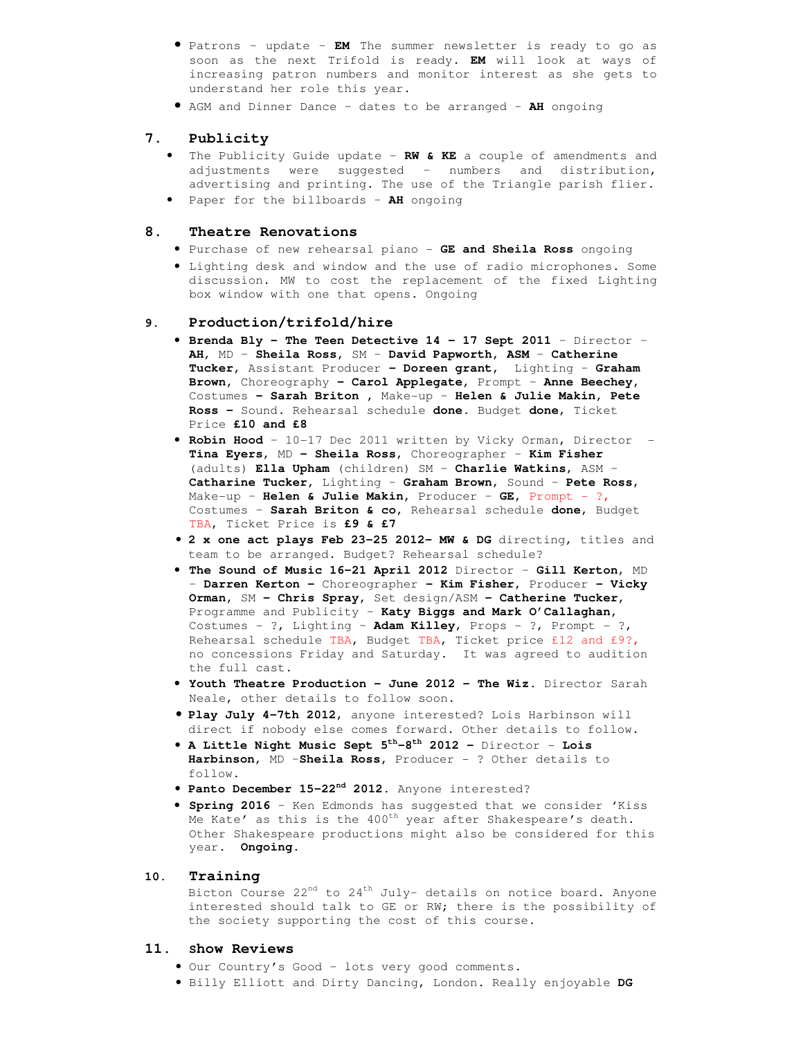- Patrons update **EM** The summer newsletter is ready to go as soon as the next Trifold is ready. **EM** will look at ways of increasing patron numbers and monitor interest as she gets to understand her role this year.
- AGM and Dinner Dance dates to be arranged **AH** ongoing

# **7. Publicity**

- The Publicity Guide update **RW & KE** a couple of amendments and adjustments were suggested – numbers and distribution, advertising and printing. The use of the Triangle parish flier.
- Paper for the billboards **AH** ongoing

### **8. Theatre Renovations**

- Purchase of new rehearsal piano **GE and Sheila Ross** ongoing
- Lighting desk and window and the use of radio microphones. Some discussion. MW to cost the replacement of the fixed Lighting box window with one that opens. Ongoing

# **9. Production/trifold/hire**

- **Brenda Bly The Teen Detective 14 17 Sept 2011**  Director **AH**, MD – **Sheila Ross,** SM – **David Papworth, ASM** – **Catherine Tucker,** Assistant Producer **– Doreen grant,** Lighting – **Graham Brown,** Choreography **– Carol Applegate,** Prompt – **Anne Beechey,**  Costumes **– Sarah Briton ,** Make-up – **Helen & Julie Makin, Pete Ross –** Sound. Rehearsal schedule **done**. Budget **done**, Ticket Price **£10 and £8**
- **Robin Hood**  10-17 Dec 2011 written by Vicky Orman, Director **Tina Eyers**, MD **– Sheila Ross**, Choreographer – **Kim Fisher**  (adults) **Ella Upham** (children) SM – **Charlie Watkins**, ASM – **Catharine Tucker,** Lighting – **Graham Brown**, Sound – **Pete Ross**, Make-up – **Helen & Julie Makin,** Producer – **GE,** Prompt - ?, Costumes – **Sarah Briton & co,** Rehearsal schedule **done**, Budget TBA, Ticket Price is **£9 & £7**
- **2 x one act plays Feb 23-25 2012– MW & DG** directing, titles and team to be arranged. Budget? Rehearsal schedule?
- **The Sound of Music 16-21 April 2012** Director **Gill Kerton**, MD – **Darren Kerton –** Choreographer **– Kim Fisher,** Producer **– Vicky Orman,** SM **– Chris Spray,** Set design/ASM **– Catherine Tucker,**  Programme and Publicity – **Katy Biggs and Mark O'Callaghan,**  Costumes - ?, Lighting – **Adam Killey**, Props - ?, Prompt - ?, Rehearsal schedule TBA, Budget TBA, Ticket price £12 and £9?, no concessions Friday and Saturday. It was agreed to audition the full cast.
- **Youth Theatre Production June 2012 The Wiz.** Director Sarah Neale, other details to follow soon.
- **Play July 4-7th 2012**, anyone interested? Lois Harbinson will direct if nobody else comes forward. Other details to follow.
- **A Little Night Music Sept 5th-8th 2012** Director **Lois Harbinson**, MD –**Sheila Ross,** Producer - ? Other details to follow.
- **Panto December 15-22nd 2012**. Anyone interested?
- **Spring 2016** Ken Edmonds has suggested that we consider 'Kiss Me Kate' as this is the  $400^{th}$  year after Shakespeare's death. Other Shakespeare productions might also be considered for this year. **Ongoing.**

### **10. Training**

Bicton Course  $22<sup>nd</sup>$  to  $24<sup>th</sup>$  July- details on notice board. Anyone interested should talk to GE or RW; there is the possibility of the society supporting the cost of this course.

### **11. Show Reviews**

- Our Country's Good lots very good comments.
- Billy Elliott and Dirty Dancing, London. Really enjoyable **DG**